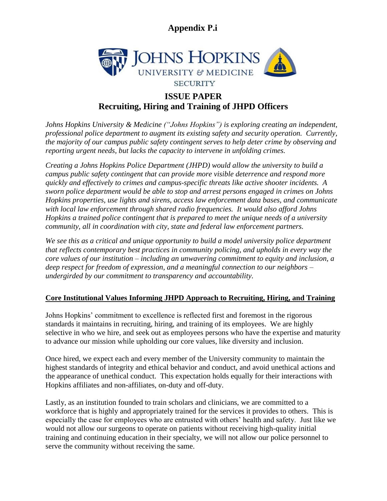

## **ISSUE PAPER Recruiting, Hiring and Training of JHPD Officers**

*Johns Hopkins University & Medicine ("Johns Hopkins") is exploring creating an independent, professional police department to augment its existing safety and security operation. Currently, the majority of our campus public safety contingent serves to help deter crime by observing and reporting urgent needs, but lacks the capacity to intervene in unfolding crimes.* 

*Creating a Johns Hopkins Police Department (JHPD) would allow the university to build a campus public safety contingent that can provide more visible deterrence and respond more quickly and effectively to crimes and campus-specific threats like active shooter incidents. A sworn police department would be able to stop and arrest persons engaged in crimes on Johns Hopkins properties, use lights and sirens, access law enforcement data bases, and communicate with local law enforcement through shared radio frequencies. It would also afford Johns Hopkins a trained police contingent that is prepared to meet the unique needs of a university community, all in coordination with city, state and federal law enforcement partners.* 

*We see this as a critical and unique opportunity to build a model university police department that reflects contemporary best practices in community policing, and upholds in every way the core values of our institution – including an unwavering commitment to equity and inclusion, a deep respect for freedom of expression, and a meaningful connection to our neighbors – undergirded by our commitment to transparency and accountability.*

### **Core Institutional Values Informing JHPD Approach to Recruiting, Hiring, and Training**

Johns Hopkins' commitment to excellence is reflected first and foremost in the rigorous standards it maintains in recruiting, hiring, and training of its employees. We are highly selective in who we hire, and seek out as employees persons who have the expertise and maturity to advance our mission while upholding our core values, like diversity and inclusion.

Once hired, we expect each and every member of the University community to maintain the highest standards of integrity and ethical behavior and conduct, and avoid unethical actions and the appearance of unethical conduct. This expectation holds equally for their interactions with Hopkins affiliates and non-affiliates, on-duty and off-duty.

Lastly, as an institution founded to train scholars and clinicians, we are committed to a workforce that is highly and appropriately trained for the services it provides to others. This is especially the case for employees who are entrusted with others' health and safety. Just like we would not allow our surgeons to operate on patients without receiving high-quality initial training and continuing education in their specialty, we will not allow our police personnel to serve the community without receiving the same.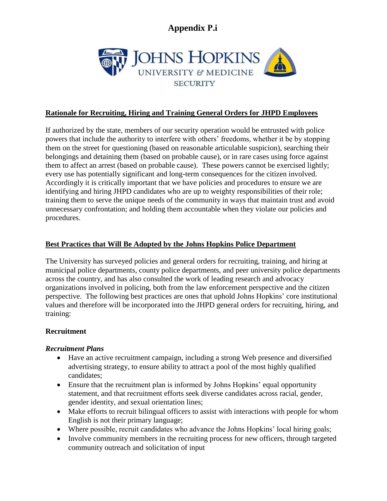

#### **Rationale for Recruiting, Hiring and Training General Orders for JHPD Employees**

If authorized by the state, members of our security operation would be entrusted with police powers that include the authority to interfere with others' freedoms, whether it be by stopping them on the street for questioning (based on reasonable articulable suspicion), searching their belongings and detaining them (based on probable cause), or in rare cases using force against them to affect an arrest (based on probable cause). These powers cannot be exercised lightly; every use has potentially significant and long-term consequences for the citizen involved. Accordingly it is critically important that we have policies and procedures to ensure we are identifying and hiring JHPD candidates who are up to weighty responsibilities of their role; training them to serve the unique needs of the community in ways that maintain trust and avoid unnecessary confrontation; and holding them accountable when they violate our policies and procedures.

#### **Best Practices that Will Be Adopted by the Johns Hopkins Police Department**

The University has surveyed policies and general orders for recruiting, training, and hiring at municipal police departments, county police departments, and peer university police departments across the country, and has also consulted the work of leading research and advocacy organizations involved in policing, both from the law enforcement perspective and the citizen perspective. The following best practices are ones that uphold Johns Hopkins' core institutional values and therefore will be incorporated into the JHPD general orders for recruiting, hiring, and training:

#### **Recruitment**

#### *Recruitment Plans*

- Have an active recruitment campaign, including a strong Web presence and diversified advertising strategy, to ensure ability to attract a pool of the most highly qualified candidates;
- Ensure that the recruitment plan is informed by Johns Hopkins' equal opportunity statement, and that recruitment efforts seek diverse candidates across racial, gender, gender identity, and sexual orientation lines;
- Make efforts to recruit bilingual officers to assist with interactions with people for whom English is not their primary language;
- Where possible, recruit candidates who advance the Johns Hopkins' local hiring goals;
- Involve community members in the recruiting process for new officers, through targeted community outreach and solicitation of input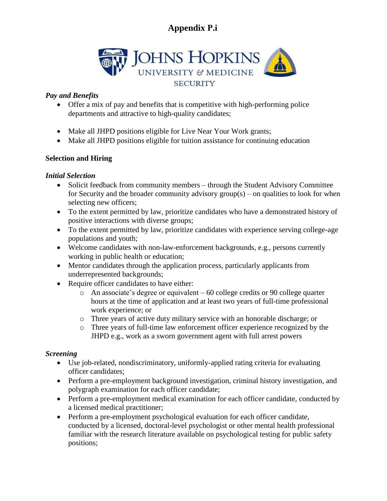

### *Pay and Benefits*

- Offer a mix of pay and benefits that is competitive with high-performing police departments and attractive to high-quality candidates;
- Make all JHPD positions eligible for Live Near Your Work grants;
- Make all JHPD positions eligible for tuition assistance for continuing education

## **Selection and Hiring**

## *Initial Selection*

- Solicit feedback from community members through the Student Advisory Committee for Security and the broader community advisory group(s) – on qualities to look for when selecting new officers;
- To the extent permitted by law, prioritize candidates who have a demonstrated history of positive interactions with diverse groups;
- To the extent permitted by law, prioritize candidates with experience serving college-age populations and youth;
- Welcome candidates with non-law-enforcement backgrounds, e.g., persons currently working in public health or education;
- Mentor candidates through the application process, particularly applicants from underrepresented backgrounds;
- Require officer candidates to have either:
	- o An associate's degree or equivalent 60 college credits or 90 college quarter hours at the time of application and at least two years of full-time professional work experience; or
	- o Three years of active duty military service with an honorable discharge; or
	- o Three years of full-time law enforcement officer experience recognized by the JHPD e.g., work as a sworn government agent with full arrest powers

### *Screening*

- Use job-related, nondiscriminatory, uniformly-applied rating criteria for evaluating officer candidates;
- Perform a pre-employment background investigation, criminal history investigation, and polygraph examination for each officer candidate;
- Perform a pre-employment medical examination for each officer candidate, conducted by a licensed medical practitioner;
- Perform a pre-employment psychological evaluation for each officer candidate, conducted by a licensed, doctoral-level psychologist or other mental health professional familiar with the research literature available on psychological testing for public safety positions;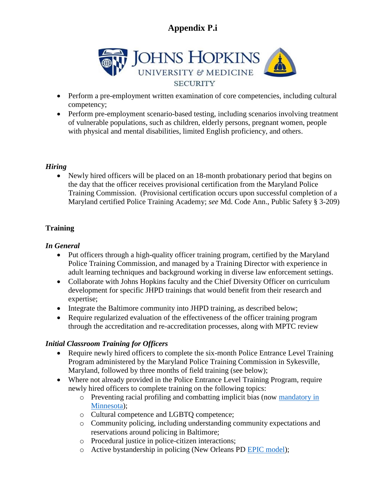

- Perform a pre-employment written examination of core competencies, including cultural competency;
- Perform pre-employment scenario-based testing, including scenarios involving treatment of vulnerable populations, such as children, elderly persons, pregnant women, people with physical and mental disabilities, limited English proficiency, and others.

#### *Hiring*

 Newly hired officers will be placed on an 18-month probationary period that begins on the day that the officer receives provisional certification from the Maryland Police Training Commission. (Provisional certification occurs upon successful completion of a Maryland certified Police Training Academy; *see* Md. Code Ann., Public Safety § 3-209)

### **Training**

### *In General*

- Put officers through a high-quality officer training program, certified by the Maryland Police Training Commission, and managed by a Training Director with experience in adult learning techniques and background working in diverse law enforcement settings.
- Collaborate with Johns Hopkins faculty and the Chief Diversity Officer on curriculum development for specific JHPD trainings that would benefit from their research and expertise;
- Integrate the Baltimore community into JHPD training, as described below;
- Require regularized evaluation of the effectiveness of the officer training program through the accreditation and re-accreditation processes, along with MPTC review

### *Initial Classroom Training for Officers*

- Require newly hired officers to complete the six-month Police Entrance Level Training Program administered by the Maryland Police Training Commission in Sykesville, Maryland, followed by three months of field training (see below);
- Where not already provided in the Police Entrance Level Training Program, require newly hired officers to complete training on the following topics:
	- o Preventing racial profiling and combatting implicit bias (now [mandatory in](https://www.policeone.com/iacp-2018/articles/481622006-IACP-2018-preview-Unconscious-bias-training-for-law-enforcement/) [Minnesota\)](https://www.policeone.com/iacp-2018/articles/481622006-IACP-2018-preview-Unconscious-bias-training-for-law-enforcement/);
	- o Cultural competence and LGBTQ competence;
	- o Community policing, including understanding community expectations and reservations around policing in Baltimore;
	- o Procedural justice in police-citizen interactions;
	- o Active bystandership in policing (New Orleans PD [EPIC model\)](http://epic.nola.gov/home/);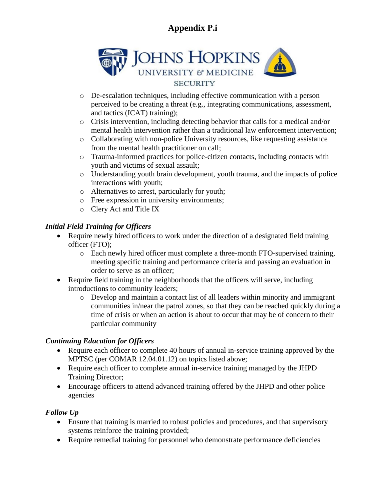

- o De-escalation techniques, including effective communication with a person perceived to be creating a threat (e.g., integrating communications, assessment, and tactics (ICAT) training);
- o Crisis intervention, including detecting behavior that calls for a medical and/or mental health intervention rather than a traditional law enforcement intervention;
- o Collaborating with non-police University resources, like requesting assistance from the mental health practitioner on call;
- o Trauma-informed practices for police-citizen contacts, including contacts with youth and victims of sexual assault;
- o Understanding youth brain development, youth trauma, and the impacts of police interactions with youth;
- o Alternatives to arrest, particularly for youth;
- o Free expression in university environments;
- o Clery Act and Title IX

### *Initial Field Training for Officers*

- Require newly hired officers to work under the direction of a designated field training officer (FTO);
	- o Each newly hired officer must complete a three-month FTO-supervised training, meeting specific training and performance criteria and passing an evaluation in order to serve as an officer;
- Require field training in the neighborhoods that the officers will serve, including introductions to community leaders;
	- o Develop and maintain a contact list of all leaders within minority and immigrant communities in/near the patrol zones, so that they can be reached quickly during a time of crisis or when an action is about to occur that may be of concern to their particular community

### *Continuing Education for Officers*

- Require each officer to complete 40 hours of annual in-service training approved by the MPTSC (per COMAR 12.04.01.12) on topics listed above;
- Require each officer to complete annual in-service training managed by the JHPD Training Director;
- Encourage officers to attend advanced training offered by the JHPD and other police agencies

## *Follow Up*

- Ensure that training is married to robust policies and procedures, and that supervisory systems reinforce the training provided;
- Require remedial training for personnel who demonstrate performance deficiencies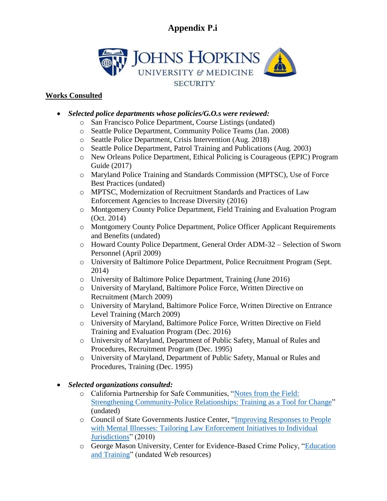

### **Works Consulted**

- *Selected police departments whose policies/G.O.s were reviewed:*
	- o San Francisco Police Department, Course Listings (undated)
	- o Seattle Police Department, Community Police Teams (Jan. 2008)
	- o Seattle Police Department, Crisis Intervention (Aug. 2018)
	- o Seattle Police Department, Patrol Training and Publications (Aug. 2003)
	- o New Orleans Police Department, Ethical Policing is Courageous (EPIC) Program Guide (2017)
	- o Maryland Police Training and Standards Commission (MPTSC), Use of Force Best Practices (undated)
	- o MPTSC, Modernization of Recruitment Standards and Practices of Law Enforcement Agencies to Increase Diversity (2016)
	- o Montgomery County Police Department, Field Training and Evaluation Program (Oct. 2014)
	- o Montgomery County Police Department, Police Officer Applicant Requirements and Benefits (undated)
	- o Howard County Police Department, General Order ADM-32 Selection of Sworn Personnel (April 2009)
	- o University of Baltimore Police Department, Police Recruitment Program (Sept. 2014)
	- o University of Baltimore Police Department, Training (June 2016)
	- o University of Maryland, Baltimore Police Force, Written Directive on Recruitment (March 2009)
	- o University of Maryland, Baltimore Police Force, Written Directive on Entrance Level Training (March 2009)
	- o University of Maryland, Baltimore Police Force, Written Directive on Field Training and Evaluation Program (Dec. 2016)
	- o University of Maryland, Department of Public Safety, Manual of Rules and Procedures, Recruitment Program (Dec. 1995)
	- o University of Maryland, Department of Public Safety, Manual or Rules and Procedures, Training (Dec. 1995)
- *Selected organizations consulted:*
	- o California Partnership for Safe Communities, ["Notes from the Field:](https://s3.trustandjustice.org/misc/StrengtheningCommPolice_CAPSC.pdf) [Strengthening Community-Police Relationships: Training as a Tool for Change"](https://s3.trustandjustice.org/misc/StrengtheningCommPolice_CAPSC.pdf) (undated)
	- o Council of State Governments Justice Center, ["Improving Responses to People](https://www.bja.gov/publications/csg_le_tailoring.pdf) [with Mental Illnesses: Tailoring Law Enforcement](https://www.bja.gov/publications/csg_le_tailoring.pdf) Initiatives to Individual [Jurisdictions"](https://www.bja.gov/publications/csg_le_tailoring.pdf) (2010)
	- o George Mason University, Center for Evidence-Based Crime Policy, ["Education](https://cebcp.org/evidence-based-policing/building-trust/education-and-training/) [and Training"](https://cebcp.org/evidence-based-policing/building-trust/education-and-training/) (undated Web resources)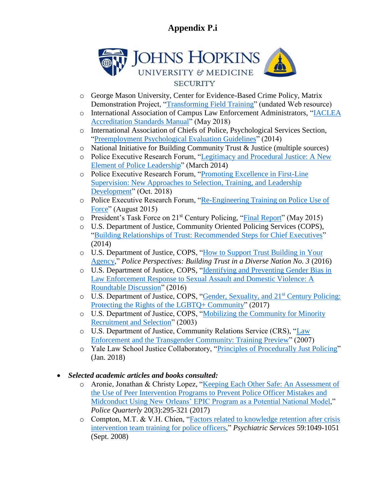

- o George Mason University, Center for Evidence-Based Crime Policy, Matrix Demonstration Project, ["Transforming Field Training"](https://cebcp.org/evidence-based-policing/the-matrix/matrix-demonstration-project/transforming-field-training/) (undated Web resource)
- o International Association of Campus Law Enforcement Administrators, ["IACLEA](https://www.iaclea.org/assets/uploads/pdfs/AccreditationStandards%20ManualMay2018.pdf) [Accreditation Standards Manual"](https://www.iaclea.org/assets/uploads/pdfs/AccreditationStandards%20ManualMay2018.pdf) (May 2018)
- o International Association of Chiefs of Police, Psychological Services Section, ["Preemployment Psychological Evaluation Guidelines"](https://www.theiacp.org/sites/default/files/all/p-r/Psych-PreemploymentPsychEval.pdf) (2014)
- o National Initiative for Building Community Trust & Justice (multiple sources)
- o Police Executive Research Forum, ["Legitimacy and Procedural Justice: A New](https://www.policeforum.org/assets/docs/Free_Online_Documents/Leadership/legitimacy%20and%20procedural%20justice%20-%20a%20new%20element%20of%20police%20leadership.pdf) [Element of Police Leadership"](https://www.policeforum.org/assets/docs/Free_Online_Documents/Leadership/legitimacy%20and%20procedural%20justice%20-%20a%20new%20element%20of%20police%20leadership.pdf) (March 2014)
- o Police Executive Research Forum, ["Promoting Excellence in First-Line](https://www.policeforum.org/assets/FirstLineSupervision.pdf) [Supervision: New Approaches to Selection, Training, and Leadership](https://www.policeforum.org/assets/FirstLineSupervision.pdf) [Development"](https://www.policeforum.org/assets/FirstLineSupervision.pdf) (Oct. 2018)
- o Police Executive Research Forum, ["Re-Engineering Training on Police Use of](https://www.policeforum.org/assets/reengineeringtraining1.pdf) [Force"](https://www.policeforum.org/assets/reengineeringtraining1.pdf) (August 2015)
- o President's Task Force on 21st Century Policing, ["Final Report"](http://elearning-courses.net/iacp/html/webinarResources/170926/FinalReport21stCenturyPolicing.pdf) (May 2015)
- o U.S. Department of Justice, Community Oriented Policing Services (COPS), ["Building Relationships of Trust: Recommended Steps for Chief Executives"](https://ric-zai-inc.com/Publications/cops-w0734-pub.pdf) (2014)
- o U.S. Department of Justice, COPS, ["How to Support Trust Building in Your](https://s3.trustandjustice.org/misc/COPS_BuildingTrustAgency.pdf) [Agency,](https://s3.trustandjustice.org/misc/COPS_BuildingTrustAgency.pdf)" *Police Perspectives: Building Trust in a Diverse Nation No. 3* (2016)
- o U.S. Department of Justice, COPS, ["Identifying and Preventing Gender Bias in](https://ric-zai-inc.com/Publications/cops-w0796-pub.pdf) Law Enforcement Response [to Sexual Assault and Domestic Violence: A](https://ric-zai-inc.com/Publications/cops-w0796-pub.pdf) [Roundtable Discussion"](https://ric-zai-inc.com/Publications/cops-w0796-pub.pdf) (2016)
- $\circ$  U.S. Department of Justice, COPS, ["Gender, Sexuality, and 21](https://ric-zai-inc.com/Publications/cops-w0837-pub.pdf)<sup>st</sup> Century Policing: [Protecting the Rights of the LGBTQ+](https://ric-zai-inc.com/Publications/cops-w0837-pub.pdf) Community" (2017)
- o U.S. Department of Justice, COPS, ["Mobilizing the Community for Minority](https://www.theiacp.org/annual-conference-resources/wp-content/uploads/sites/4/2018/08/FinalCLPReport.pdf) [Recruitment and Selection"](https://www.theiacp.org/annual-conference-resources/wp-content/uploads/sites/4/2018/08/FinalCLPReport.pdf) (2003)
- o U.S. Department of Justice, Community Relations Service (CRS), ["Law](https://www.niot.org/sites/default/files/Transgender%20Preview%20PPT%2007-07-14-2.pdf) [Enforcement and the Transgender Community: Training Preview"](https://www.niot.org/sites/default/files/Transgender%20Preview%20PPT%2007-07-14-2.pdf) (2007)
- o Yale Law School Justice Collaboratory, ["Principles of Procedurally Just Policing"](https://law.yale.edu/system/files/area/center/justice/principles_of_procedurally_just_policing_report.pdf) (Jan. 2018)
- *Selected academic articles and books consulted:*
	- o Aronie, Jonathan & Christy Lopez, ["Keeping Each Other Safe: An Assessment of](https://journals.sagepub.com/doi/10.1177/1098611117710443) [the Use of Peer Intervention Programs to Prevent Police Officer Mistakes and](https://journals.sagepub.com/doi/10.1177/1098611117710443) [Midconduct Using New Orleans' EPIC Program as a Potential National Model,](https://journals.sagepub.com/doi/10.1177/1098611117710443)" *Police Quarterly* 20(3):295-321 (2017)
	- o Compton, M.T. & V.H. Chien, ["Factors related to knowledge retention after crisis](https://www.ncbi.nlm.nih.gov/pubmed/18757600) [intervention team training for police officers,](https://www.ncbi.nlm.nih.gov/pubmed/18757600)" *Psychiatric Services* 59:1049-1051 (Sept. 2008)